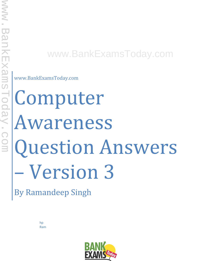### www.BankExamsToday.com

www.BankExamsToday.com

# Computer Awareness Question Answers – Version 3

By Ramandeep Singh

hp Ram

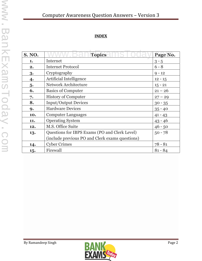#### **INDEX**

| <b>S. NO.</b> | <b>Topics</b>                                   | Page No.  |
|---------------|-------------------------------------------------|-----------|
| 1.            | Internet                                        | $3 - 5$   |
| 2.            | <b>Internet Protocol</b>                        | $6 - 8$   |
| 3.            | Cryptography                                    | $9 - 12$  |
| 4.            | Artificial Intelligence                         | $12 - 15$ |
| 5.            | <b>Network Architecture</b>                     | $15 - 21$ |
| 6.            | <b>Basics of Computer</b>                       | $21 - 26$ |
| 7.            | <b>History of Computer</b>                      | $27 - 29$ |
| 8.            | <b>Input/Output Devices</b>                     | $30 - 35$ |
| 9.            | <b>Hardware Devices</b>                         | $35 - 40$ |
| 10.           | <b>Computer Languages</b>                       | $41 - 43$ |
| 11.           | <b>Operating System</b>                         | $43 - 46$ |
| 12.           | M.S. Office Suite                               | $46 - 50$ |
| 13.           | Questions for IBPS Exams (PO and Clerk Level)   | $50 - 78$ |
|               | (include previous PO and Clerk exams questions) |           |
| 14.           | <b>Cyber Crimes</b>                             | $78 - 81$ |
| 15.           | Firewall                                        | $81 - 84$ |

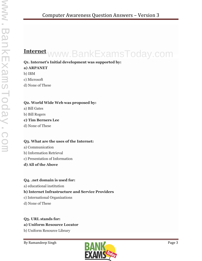### **Internet** www.BankExamsToday.com

#### **Q1. Internet's Initial development was supported by:**

#### **a) ARPANET**

b) IBM

c) Microsoft

d) None of These

#### **Q2. World Wide Web was proposed by:**

- a) Bill Gates
- b) Bill Rogers

#### **c) Tim Berners Lee**

d) None of These

#### **Q3. What are the uses of the Internet:**

- a) Communication
- b) Information Retrieval
- c) Presentation of Information
- **d) All of the Above**

#### **Q4. .net domain is used for:**

a) educational institution

#### **b) Internet Infrastructure and Service Providers**

- c) International Organizations
- d) None of These

#### **Q5. URL stands for: a) Uniform Resource Locator**

b) Uniform Resource Library

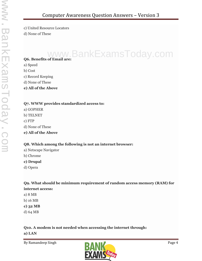c) United Resource Locators

d) None of These

## **Q6. Benefits of Email are:** www.BankExamsToday.com

a) Speed

b) Cost

c) Record Keeping

- d) None of These
- **e) All of the Above**

#### **Q7. WWW provides standardized access to:**

a) GOPHER b) TELNET c) FTP

d) None of These

**e) All of the Above**

#### **Q8. Which among the following is not an internet browser:**

- a) Netscape Navigator
- b) Chrome

**c) Drupal**

d) Opera

#### **Q9. What should be minimum requirement of random access memory (RAM) for internet access:**

- a) 8 MB
- b) 16 MB
- **c) 32 MB**
- d) 64 MB

#### **Q10. A modem is not needed when accessing the internet through:**

**a) LAN**

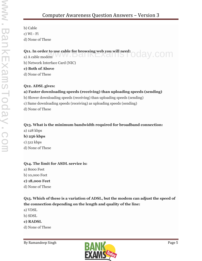b) Cable c) Wi - Fi d) None of These

Q11. In order to use cable for browsing web you will need:<br>a) A cable modem Q11. In order to use cable for browsing web you will need:  $\bigcirc$  and  $\vee$  . COM

b) Network Interface Card (NIC)

#### **c) Both of Above**

d) None of These

#### **Q12. ADSL gives:**

#### **a) Faster downloading speeds (receiving) than uploading speeds (sending)**

- b) Slower downloading speeds (receiving) than uploading speeds (sending)
- c) Same downloading speeds (receiving) as uploading speeds (sending)
- d) None of These

#### **Q13. What is the minimum bandwidth required for broadband connection:**

- a) 128 kbps
- **b) 256 kbps**
- c) 512 kbps
- d) None of These

#### **Q14. The limit for ASDL service is:**

- a) 8000 Feet
- b) 10,000 Feet
- **c) 18,000 Feet**
- d) None of These

#### **Q15. Which of these is a variation of ADSL, but the modem can adjust the speed of the connection depending on the length and quality of the line:**

- a) VDSL
- b) SDSL
- **c) RADSL**
- d) None of These

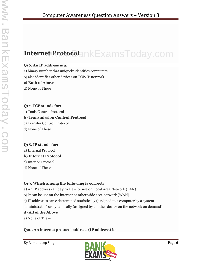### **Internet Protocol** www.BankExamsToday.com

#### **Q16. An IP address is a:**

a) binary number that uniquely identifies computers.

b) also identifies other devices on TCP/IP network

#### **c) Both of Above**

d) None of These

#### **Q17. TCP stands for:** a) Tools Control Protocol **b) Transmission Control Protocol** c) Transfer Control Protocol

d) None of These

#### **Q18. IP stands for:**

a) Internal Protocol **b) Internet Protocol** c) Interior Protocol

d) None of These

#### **Q19. Which among the following is correct:**

a) An IP address can be private - for use on Local Area Network (LAN).

b) It can be use on the internet or other wide area network (WAN).

c) IP addresses can e determined statistically (assigned to a computer by a system

administrator) or dynamically (assigned by another device on the network on demand).

#### **d) All of the Above**

e) None of These

#### **Q20. An internet protocol address (IP address) is:**

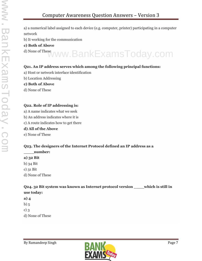a) a numerical label assigned to each device (e.g. computer, printer) participating in a computer network

b) It working for the communication

- **c) Both of Above**
- d) None of These www.BankExamsToday.com

#### **Q21. An IP address serves which among the following principal functions:**

- a) Host or network interface identification
- b) Location Addressing
- **c) Both of Above**
- d) None of These

#### **Q22. Role of IP addressing is:**

- a) A name indicates what we seek
- b) An address indicates where it is
- c) A route indicates how to get there

#### **d) All of the Above**

e) None of These

#### **Q23. The designers of the Internet Protocol defined an IP address as a**

- **\_\_\_\_number:**
- **a) 32 Bit**
- b) 34 Bit
- c) 31 Bit
- d) None of These

**Q24. 32 Bit system was known as Internet protocol version \_\_\_\_which is still in use today:**

- **a) 4**
- b) 5
- c) 3
- d) None of These

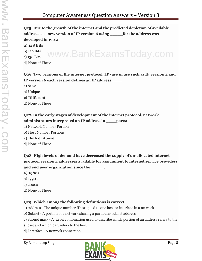**Q25. Due to the growth of the internet and the predicted depletion of available addresses, a new version of IP version 6 using \_\_\_\_\_for the address was developed in 1995:**

**a) 128 Bits**

b) 129 Bits

c) 130 Bits

d) None of These

**Q26. Two versions of the internet protocol (IP) are in use such as IP version 4 and IP version 6 each version defines an IP address \_\_\_\_:**

www.BankExamsToday.com

a) Same

b) Unique

**c) Different**

d) None of These

#### **Q27. In the early stages of development of the internet protocol, network administrators interpreted an IP address in \_\_\_\_parts:**

a) Network Number Portion

b) Host Number Portions

**c) Both of Above**

d) None of These

**Q28. High levels of demand have decreased the supply of un-allocated internet protocol version 4 addresses available for assignment to internet service providers and end user organization since the \_\_\_\_\_:**

**a) 1980s**

- b) 1990s
- c) 2000s
- d) None of These

#### **Q29. Which among the following definitions is correct:**

a) Address - The unique number ID assigned to one host or interface in a network

b) Subnet - A portion of a network sharing a particular subnet address

c) Subnet mask - A 32 bit combination used to describe which portion of an address refers to the subset and which part refers to the host

d) Interface - A network connection

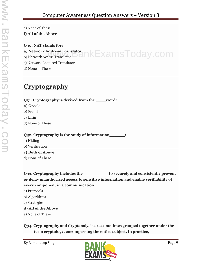e) None of These

**f) All of the Above**

**Q30. NAT stands for: a) Network Address Translator** a) Network Address Translator $\cap$  KExams $\top$ Oday.com

c) Network Acquired Translator

d) None of These

### **Cryptography**

**Q31. Cryptography is derived from the \_\_\_\_word: a) Greek** b) French c) Latin d) None of These

#### **Q32. Cryptography is the study of information\_\_\_\_\_\_:**

- a) Hiding
- b) Verification

#### **c) Both of Above**

d) None of These

**Q33. Cryptography includes the \_\_\_\_\_\_\_\_\_\_to securely and consistently prevent or delay unauthorized access to sensitive information and enable verifiability of every component in a communication:**

- a) Protocols
- b) Algorithms
- c) Strategies

#### **d) All of the Above**

e) None of These

**Q34. Cryptography and Cryptanalysis are sometimes grouped together under the \_\_\_\_term cryptology, encompassing the entire subject. In practice,**

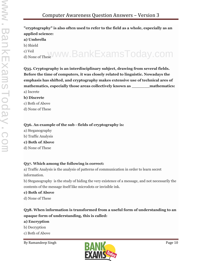#### **"cryptography" is also often used to refer to the field as a whole, especially as an applied science: a) Umbrella** b) Shield c) Veil <sup>c) Veil</sup><br>d) None of These<sup>V</sup>WW.BankExamsToday.com

**Q35. Cryptography is an interdisciplinary subject, drawing from several fields. Before the time of computers, it was closely related to linguistic. Nowadays the emphasis has shifted, and cryptography makes extensive use of technical ares of mathematics, especially those areas collectively known as \_\_\_\_\_\_\_mathematics:** a) Increte

#### **b) Discrete**

c) Both of Above

d) None of These

#### **Q36. An example of the sub - fields of cryptography is:**

a) Steganography

b) Traffic Analysis

#### **c) Both of Above**

d) None of These

#### **Q37. Which among the following is correct:**

a) Traffic Analysis is the analysis of patterns of communication in order to learn secret information.

b) Steganography is the study of hiding the very existence of a message, and not necessarily the contents of the message itself like microdots or invisible ink.

#### **c) Both of Above**

d) None of These

#### **Q38. When information is transformed from a useful form of understanding to an opaque form of understanding, this is called:**

#### **a) Encryption**

- b) Decryption
- c) Both of Above

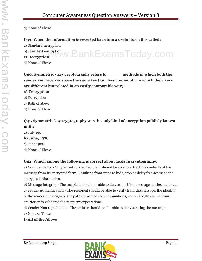d) None of These

#### **Q39. When the information is reverted back into a useful form it is called:**

- a) Standard encryption
- b) Plain text encryption **c) Decryption** www.BankExamsToday.com
- 
- d) None of These

**Q40. Symmetric - key cryptography refers to \_\_\_\_\_\_methods in which both the sender and receiver share the same key ( or , less commonly, in which their keys are different but related in an easily computable way):**

- **a) Encryption**
- b) Decryption
- c) Both of above
- d) None of These

#### **Q41. Symmetric key cryptography was the only kind of encryption publicly known until:**

a) July 195 **b) June, 1976** c) June 1988 d) None of These

#### **Q42. Which among the following is correct about goals in cryptography:**

a) Confidentiality - Only an authorized recipient should be able to extract the contents of the message from its encrypted form. Resulting from steps to hide, stop or delay free access to the encrypted information.

b) Message Integrity - The recipient should be able to determine if the message has been altered. c) Sender Authentication - The recipient should be able to verify from the message, the identity of the sender, the origin or the path it traveled (or combinations) so to validate claims from emitter or to validated the recipient expectations.

d) Sender Non repudiation - The emitter should not be able to deny sending the message e) None of These

#### **f) All of the Above**

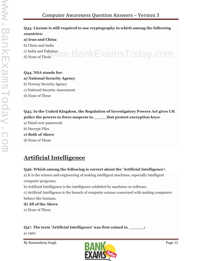#### **Q43. License is still required to use cryptography in which among the following countries:**

#### **a) Iran and China**

b) China and India

c) India and Pakistan

### c) India and Pakistan WW.BankExamsToday.com

#### **Q44. NSA stands for: a) National Security Agency**

b) Norway Security Agency

c) National Security Assessment

d) None of These

**Q45. In the United Kingdom, the Regulation of Investigatory Powers Act gives UK police the powers to force suspects to \_\_\_\_\_that protect encryption keys:**

- a) Hand over passwords
- b) Decrypt Files
- **c) Both of Above**
- d) None of These

### **Artificial Intelligence**

#### **Q46. Which among the following is correct about the 'Artificial Intelligence':**

a) It is the science and engineering of making intelligent machines, especially intelligent computer programs.

b) Artificial Intelligence is the intelligence exhibited by machines or software.

c) Artificial Intelligence is the branch of computer science concerned with making computers behave like humans.

#### **d) All of the Above**

e) None of These

#### **Q47. The term 'Artificial Intelligence' was first coined in \_\_\_\_\_\_:**

a) 1960

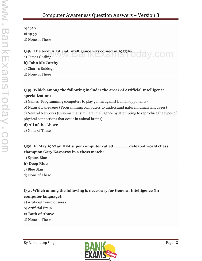b) 1950

**c) 1955**

d) None of These

#### **Q48. The term Artificial Intelligence was coined in 1955 by and all y** COM a) James Gosling V W W . D dl  $IKLX$  dl  $I$  i  $\bigcup$

**b) John Mc Carthy** c) Charles Babbage

d) None of These

#### **Q49. Which among the following includes the areas of Artificial Intelligence specialization:**

a) Games (Programming computers to play games against human opponents)

b) Natural Languages (Programming computers to understand natural human languages)

c) Neutral Networks (Systems that simulate intelligence by attempting to reproduce the types of physical connections that occur in animal brains)

#### **d) All of the Above**

e) None of These

**Q50. In May 1997 an IBM super computer called \_\_\_\_\_\_defeated world chess champion Gary Kasparov in a chess match:**

a) Syntax Blue

#### **b) Deep Blue**

c) Blue Stan

d) None of These

**Q51. Which among the following is necessary for General Intelligence (in computer language):**

a) Artificial Consciousness

- b) Artificial Brain
- **c) Both of Above**
- d) None of These

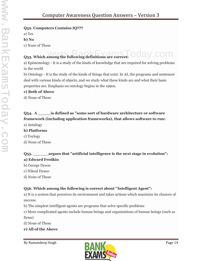#### **Q52. Computers Contains IQ???**

a) Yes

**b) No**

c) None of These

#### **Q53. Which among the following definitions are correct:** www.BankExamsJ

a) Epistemology - It is a study of the kinds of knowledge that are required for solving problems in the world

b) Ontology - It is the study of the kinds of things that exist. In AI, the programs and sentences deal with various kinds of objects, and we study what these kinds are and what their basic properties are. Emphasis on ontology begins in the 1990s.

#### **c) Both of Above**

d) None of These

#### **Q54. A \_\_\_\_\_is defined as "some sort of hardware architecture or software framework (including application frameworks), that allows software to run:**

a) Antalogy

#### **b) Platforms**

- c) Toylogy
- d) None of These

#### **Q55. \_\_\_\_\_\_argues that "artificial intelligence is the next stage in evolution": a) Edward Fredkin**

- b) George Dyson
- c) Nikeal Dyano
- d) None of These

#### **Q56. Which among the following is correct about ''Intelligent Agent":**

a) It is a system that perceives its environment and takes actions which maximize its chances of success.

b) The simplest intelligent agents are programs that solve specific problems

c) More complicated agents include human beings and organizations of human beings (such as firms)

d) None of These

**e) All of the Above**

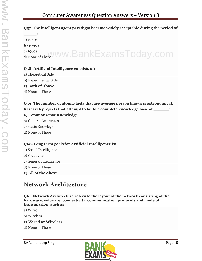#### **Q57. The intelligent agent paradigm became widely acceptable during the period of**

**\_\_\_\_\_:** a) 1980s

#### **b) 1990s**

c) 1960s <sup>c) 1960s</sup><br>d) None of These<sup>V</sup>WW.BankExamsToday.com

#### **Q58. Artificial Intelligence consists of:**

- a) Theoretical Side
- b) Experimental Side

**c) Both of Above**

d) None of These

**Q59. The number of atomic facts that are average person knows is astronomical. Research projects that attempt to build a complete knowledge base of \_\_\_\_\_\_: a) Commonsense Knowledge**

- b) General Awareness
- c) Static Knowlege
- d) None of These

#### **Q60. Long term goals for Artificial Intelligence is:**

- a) Social Intelligence
- b) Creativity
- c) General Intelligence
- d) None of These
- **e) All of the Above**

### **Network Architecture**

**Q61. Network Architecture refers to the layout of the network consisting of the hardware, software, connectivity, communication protocols and mode of transmission, such as \_\_\_\_:**

- a) Wired
- b) Wireless
- **c) Wired or Wireless**
- d) None of These

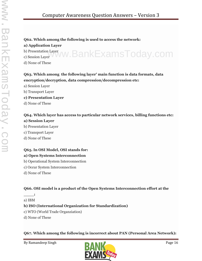#### **Q62. Which among the following is used to access the network:**

#### **a) Application Layer**

b) Presentation Layer b) Presentation Layer<br>c) Session Layer VWW. BankExamsToday.com

d) None of These

#### **Q63. Which among the following layer' main function is data formats, data encryption/decryption, data compression/decompression etc:**

a) Session Layer

b) Transport Layer

- **c) Presentation Layer**
- d) None of These

#### **Q64. Which layer has access to particular network services, billing functions etc:**

#### **a) Session Layer**

- b) Presentation Layer
- c) Transport Layer
- d) None of These

#### **Q65. In OSI Model, OSI stands for:**

#### **a) Open Systems Interconnection**

- b) Operational System Interconnection
- c) Occur System Interconnection
- d) None of These

#### **Q66. OSI model is a product of the Open Systems Interconnection effort at the**

**\_\_\_\_:** a) IBM

#### **b) ISO (International Organization for Standardization)**

- c) WTO (World Trade Organziation)
- d) None of These

**Q67. Which among the following is incorrect about PAN (Personal Area Network):**

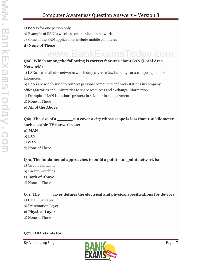- a) PAN is for one person only. .
- b) Example of PAN is wireless communication network.
- c) Some of the PAN applications include mobile commerce
- **d) None of These**

### www.BankExamsToday.com

#### **Q68. Which among the following is correct features about LAN (Local Area Network):**

a) LANs are small size networks which only covers a few buildings or a campus up to few kilometers.

b) LANs are widely used to connect personal computers and workstations in company offices,factories and universities to share resources and exchange information.

- c) Example of LAN is to share printers in a Lab or in a department.
- d) None of These

#### **e) All of the Above**

#### **Q69. The size of a \_\_\_\_\_\_can cover a city whose scope is less than 100 kilometer such as cable TV networks etc: a) MAN**

#### b) LAN

- c) WAN
- d) None of These

#### **Q70. The fundamental approaches to build a point - to - point network is:**

- a) Circuit Switching
- b) Packet Switching
- **c) Both of Above**
- d) None of These

#### **Q71. The \_\_\_\_\_layer defines the electrical and physical specifications for devices:**

- a) Data Link Layer
- b) Presentation Layer
- **c) Physical Layer**
- d) None of These

#### **Q72. HBA stands for:**

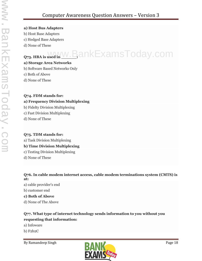#### **a) Host Bus Adapters**

- b) Host Base Adapters
- c) Hedged Base Adapters
- d) None of These

## $_{\rm Q73. \, HBA \, is \, used \, in \, W. \, B}$ ankExamsToday.com

#### **a) Storage Area Networks**

b) Software Based Networks Only

- c) Both of Above
- d) None of These

#### **Q74. FDM stands for:**

#### **a) Frequency Division Multiplexing**

- b) Fidelty Division Multiplexing
- c) Fast Division Multiplexing
- d) None of These

#### **Q75. TDM stands for:**

a) Task Division Multiplexing

#### **b) Time Division Multiplexing**

- c) Testing Division Multiplexing
- d) None of These

**Q76. In cable modem internet access, cable modem terminations system (CMTS) is at:**

a) cable provider's end

b) customer end

#### **c) Both of Above**

d) None of The Above

#### **Q77. What type of internet technology sends information to you without you requesting that information:**

- a) Infoware
- b) F2b2C

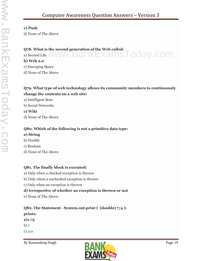#### **c) Push**

d) None of The Above

#### **Q78. What is the second generation of the Web called:**  $Q$ 78. What is the second generation of the Web called:  $\blacksquare$   $\bigcirc$   $\bigcirc$   $\bigcirc$   $\bigcirc$   $\bigcirc$   $\bigcirc$   $\bigcap$   $\bigcirc$   $\bigcirc$   $\bigcirc$   $\bigcap$   $\bigcirc$   $\bigcirc$   $\bigcirc$   $\bigcap$   $\bigcirc$   $\bigcirc$   $\bigcirc$   $\bigcirc$   $\bigcirc$   $\bigcirc$   $\bigcirc$   $\bigcirc$   $\bigcirc$   $\bigcirc$   $\bigcirc$   $\$

#### **b) Web 2.0**

c) Emerging Space

d) None of The Above

#### **Q79. What type of web technology allows its community members to continuously change the contents on a web site:**

a) Intelligent Bots

b) Social Networks

**c) Wiki**

d) None of The Above

#### **Q80. Which of the following is not a primitive data type:**

#### **a) String**

- b) Double
- c) Boolean
- d) None of The Above

#### **Q81. The finally block is executed:**

- a) Only when a checked exception is thrown
- b) Only when a unchecked exception is thrown
- c) Only when an exception is thrown

#### **d) Irrespective of whether an exception is thrown or not**

e) None of The Above

**Q82. The Statement - System.out.print ( (double) 7/4 );**

- **prints:**
- **a)1.75**
- b) 1

c) 2.0

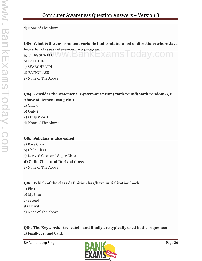#### **Q83. What is the environment variable that contains a list of directions where Java looks for classes referenced in a program: a) CLASSPATH WW.BankExamsToday.com**

b) PATHDIR c) SEARCHPATH

d) PATHCLASS

e) None of The Above

#### **Q84. Consider the statement - System.out.print (Math.round(Math.random 0)); Above statement can print:**

- a) Only 0
- b) Only 1

**c) Only 0 or 1**

d) None of The Above

#### **Q85. Subclass is also called:**

- a) Base Class
- b) Child Class
- c) Derived Class and Super Class

#### **d) Child Class and Derived Class**

e) None of The Above

#### **Q86. Which of the class definition has/have initialization bock:**

- a) First
- b) My Class
- c) Second

#### **d) Third**

e) None of The Above

#### **Q87. The Keywords - try, catch, and finally are typically used in the sequence:**

a) Finally, Try and Catch

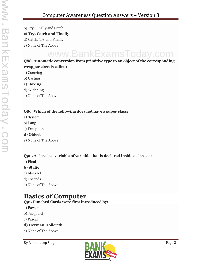b) Try, Finally and Catch **c) Try, Catch and Finally** d) Catch, Try and Finally e) None of The Above

## www.BankExamsToday.com

#### **Q88. Automatic conversion from primitive type to an object of the corresponding wrapper class is called:**

- a) Coercing
- b) Casting
- **c) Boxing**
- d) Widening
- e) None of The Above

#### **Q89. Which of the following does not have a super class:**

- a) System
- b) Lang
- c) Exception
- **d) Object**
- e) None of The Above

#### **Q90. A class is a variable of variable that is declared inside a class as:**

- a) Final
- **b) Static**
- c) Abstract
- d) Extends
- e) None of The Above

#### **Basics of Computer**

#### **Q91. Punched Cards were first introduced by:**

- a) Powers
- b) Jacquard
- c) Pascal

#### **d) Herman Hollerith**

e) None of The Above

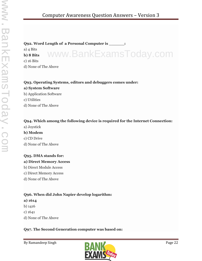#### **Q92. Word Length of a Personal Computer is \_\_\_\_\_\_:**

a) 4 Bits **b) 8 Bits** c) 16 Bits d) None of The Above www.BankExamsToday.com

#### **Q93. Operating Systems, editors and debuggers comes under:**

**a) System Software** b) Application Software c) Utilities d) None of The Above

#### **Q94. Which among the following device is required for the Internet Connection:**

a) Joystick

#### **b) Modem**

- c) CD Drive
- d) None of The Above

#### **Q95. DMA stands for:**

#### **a) Direct Memory Access**

- b) Direct Module Access
- c) Direct Memory Access
- d) None of The Above

#### **Q96. When did John Napier develop logarithm:**

#### **a) 1614**

- b) 1416
- c) 1641
- d) None of The Above

#### **Q97. The Second Generation computer was based on:**

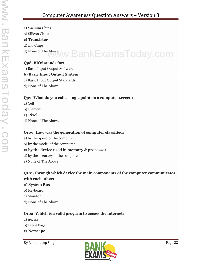- a) Vacuum Chips
- b) Silicon Chips

#### **c) Transistor**

- d) Bio Chips
- 

### d) None of The Above www.BankExamsToday.com

#### **Q98. BIOS stands for:**

a) Basic Input Output Software

#### **b) Basic Input Output System**

- c) Basic Input Output Standards
- d) None of The Above

#### **Q99. What do you call a single point on a computer screen:**

- a) Cell
- b) Element
- **c) Pixel**
- d) None of The Above

#### **Q109. How was the generation of computer classified:**

- a) by the speed of the computer
- b) by the model of the computer

#### **c) by the device used in memory & processor**

- d) by the accuracy of the computer
- e) None of The Above

#### **Q101.Through which device the main components of the computer communicates with each other:**

#### **a) System Bus**

- b) Keyboard
- c) Monitor
- d) None of The Above

#### **Q102. Which is a valid program to access the internet:**

- a) Access
- b) Front Page
- **c) Netscape**

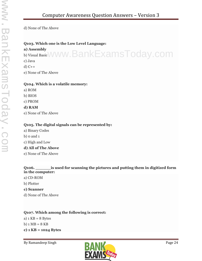#### **Q103. Which one is the Low Level Language:**

#### **a) Assembly**

a) Assembly<br>b) Visual Basic WWW.BankExamsToday.com c) Java

d) C++

e) None of The Above

#### **Q104. Which is a volatile memory:**

- a) ROM
- b) BIOS
- c) PROM

#### **d) RAM**

e) None of The Above

#### **Q105. The digital signals can be represented by:**

- a) Binary Codes
- $b)$  o and  $1$
- c) High and Low

#### **d) All of The Above**

e) None of The Above

#### **Q106. \_\_\_\_\_\_is used for scanning the pictures and putting them in digitized form in the computer:**

- a) CD-ROM
- b) Plotter
- **c) Scanner**
- d) None of The Above

#### **Q107. Which among the following is correct:**

a)  $1 KB = 8 Bytes$  $b)$  1 MB = 8 KB **c) 1 KB = 1024 Bytes**

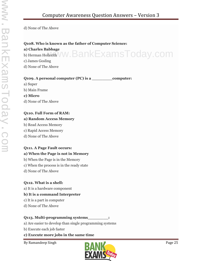#### **Q108. Who is known as the father of Computer Science:**

#### **a) Charles Babbage**

a) Charles Babbage<br>b) Herman Hollerith VW. BankExamsToday.com

- c) James Gosling
- d) None of The Above

#### **Q109. A personal computer (PC) is a \_\_\_\_\_\_\_\_computer:**

a) Super

b) Main Frame

#### **c) Micro**

d) None of The Above

#### **Q110. Full Form of RAM:**

#### **a) Random Access Memory**

- b) Read Access Memory
- c) Rapid Access Memory
- d) None of The Above

#### **Q111. A Page Fault occurs:**

#### **a) When the Page is not in Memory**

- b) When the Page is in the Memory
- c) When the process is in the ready state
- d) None of The Above

#### **Q112. What is a shell:**

a) It is a hardware component

#### **b) It is a command Interpreter**

- c) It is a part in computer
- d) None of The Above

#### **Q113. Multi-programming systems\_\_\_\_\_\_\_\_:**

- a) Are easier to develop than single programming systems
- b) Execute each job faster

#### **c) Execute more jobs in the same time**

By Ramandeep Singh Page 25

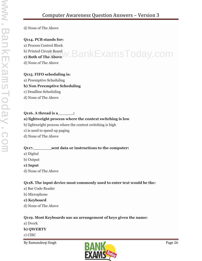#### **Q114. PCB stands for:**

a) Process Control Block

b) Printed Circuit Board

### b) Printed Circuit Board<br>**c) Both of The Above** N. BankExamsToday.com

d) None of The Above

#### **Q115. FIFO scheduling is:**

a) Preemptive Scheduling

#### **b) Non Preemptive Scheduling**

- c) Deadline Scheduling
- d) None of The Above

#### **Q116. A thread is a\_\_\_\_\_\_:**

#### **a) lightweight process where the context switching is low**

- b) lightweight process where the context switching is high
- c) is used to speed up paging
- d) None of The Above

#### **Q117.\_\_\_\_\_\_\_sent data or instructions to the computer:**

- a) Digital
- b) Output
- **c) Input**
- d) None of The Above

#### **Q118. The input device most commonly used to enter text would be the:**

- a) Bar Code Reader
- b) Microphone
- **c) Keyboard**
- d) None of The Above

#### **Q119. Most Keyboards use an arrangement of keys given the name:**

a) Dvork

#### **b) QWERTY**

c) CISC

By Ramandeep Singh Page 26

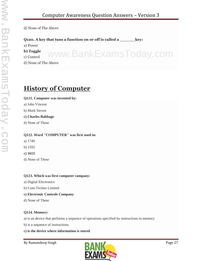www.BankExamsToday.com

d) None of The Above

**Q120. A key that tuns a function on or off is called a \_\_\_\_\_\_key:**

a) Power

**b) Toggle**

c) Control

d) None of The Above

#### **History of Computer**

#### **Q121. Computer was invented by:**

- a) John Vincent
- b) Mark Steven
- **c) Charles Babbage**
- d) None of These

#### **Q122. Word "COMPUTER" was first used in:**

- a) 1749
- b) 1592
- **c) 1613**
- d) None of These

#### **Q123. Which was first computer company:**

- a) Digital Electronics
- b) Com-Techno Limited
- **c) Electronic Controls Company**
- d) None of These

#### **Q124. Memory:**

a) is an device that performs a sequence of operations specified by instructions in memory

- b) is a sequence of instructions
- **c) is the device where information is stored**

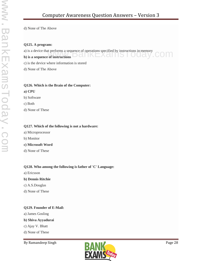#### **Q125. A program:**

a) is a device that performs a sequence of operations specified by instructions in memory<br> **b**) is a sequence of instructions

#### **b**) is a sequence of instructions **DCIINEXCIIIS**

c) is the device where information is stored

d) None of The Above

#### **Q126. Which is the Brain of the Computer:**

#### **a) CPU**

- b) Software
- c) Both
- d) None of These

#### **Q127. Which of the following is not a hardware:**

- a) Microprocessor
- b) Monitor
- **c) Microsoft Word**
- d) None of These

#### **Q128. Who among the following is father of 'C' Language:**

a) Ericsson

#### **b) Dennis Ritchie**

- c) A.S.Douglas
- d) None of These

#### **Q129. Founder of E-Mail:**

a) James Gosling

#### **b) Shiva Ayyadurai**

- c) Ajay V. Bhatt
- d) None of These

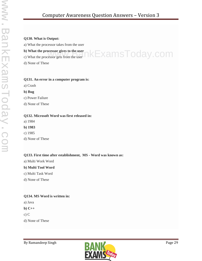#### **Q130. What is Output:**

a) What the processor takes from the user

#### **b) What the processor gives to the user**

c) What the processor gets from the user

d) None of These

### ۱kExamsToday.com

#### **Q131. An error in a computer program is:**

a) Crash

**b) Bug**

c) Power Failure

d) None of These

#### **Q132. Microsoft Word was first released in:**

a) 1984

**b) 1983**

c) 1985

d) None of These

#### **Q133. First time after establishment, MS - Word was known as:**

a) Multi Work Word

#### **b) Multi Tool Word**

c) Multi Task Word

d) None of These

#### **Q134. MS Word is written in:**

a) Java

**b) C++**

c) C

d) None of These

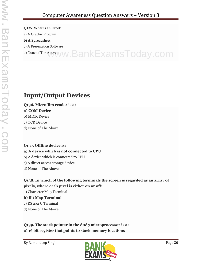#### **Q135. What is an Excel:**

a) A Graphic Program

#### **b) A Spreadsheet**

c) A Presentation Software

d) None of The Above WW. BankExamsToday.com

#### **Input/Output Devices**

#### **Q136. Microfilm reader is a:**

#### **a) COM Device**

- b) MICR Device
- c) OCR Device
- d) None of The Above

#### **Q137. Offline device is:**

#### **a) A device which is not connected to CPU**

- b) A device which is connected to CPU
- c) A direct access storage device
- d) None of The Above

#### **Q138. In which of the following terminals the screen is regarded as an array of pixels, where each pixel is either on or off:**

a) Character Map Terminal

#### **b) Bit Map Terminal**

- c) RS 232 C Terminal
- d) None of The Above

**Q139. The stack pointer in the 8085 microprocessor is a: a) 16 bit register that points to stack memory locations**

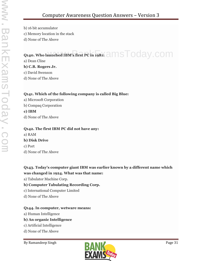b) 16 bit accumulator c) Memory location in the stack d) None of The Above

### **Q140. Who launched IBM's first PC in 1981:**  $\partial \text{MSTOday}$  **.com**

a) Dean Cline

**b) C.B. Rogers Jr.**

c) David Swenson

d) None of The Above

#### **Q141. Which of the following company is called Big Blue:**

a) Microsoft Corporation b) Compaq Corporation **c) IBM** d) None of The Above

#### **Q142. The first IBM PC did not have any:**

a) RAM **b) Disk Drive** c) Port

d) None of The Above

**Q143. Today's computer giant IBM was earlier known by a different name which was changed in 1924. What was that name:**

a) Tabulator Machine Corp.

#### **b) Computer Tabulating Recording Corp.**

- c) International Computer Limited
- d) None of The Above

#### **Q144. In computer, wetware means:**

a) Human Intelligence

#### **b) An organic Intelligence**

- c) Artificial Intelligence
- d) None of The Above

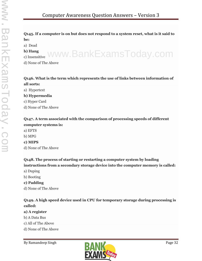#### **Q145. If a computer is on but does not respond to a system reset, what is it said to be:**

www.BankExamsToday.com

- a) Dead
- **b) Hang**
- c) Insensitive
- d) None of The Above

#### **Q146. What is the term which represents the use of links between information of all sorts:**

a) Hypertext

#### **b) Hypermedia**

- c) Hyper Card
- d) None of The Above

#### **Q147. A term associated with the comparison of processing speeds of different computer systems is:**

- a) EFTS
- b) MPG
- **c) MIPS**
- d) None of The Above

#### **Q148. The process of starting or restarting a computer system by loading instructions from a secondary storage device into the computer memory is called:**

- a) Duping
- b) Booting
- **c) Padding**
- d) None of The Above

#### **Q149. A high speed device used in CPU for temporary storage during processing is called:**

#### **a) A register**

- b) A Data Bus
- c) All of The Above
- d) None of The Above

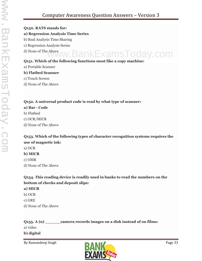#### **Q150. RATS stands for:**

#### **a) Regression Analysis Time Series**

- b) Real Analysis Time Sharing
- c) Regression Analysis Series
- d) None of The Above

#### **Q151. Which of the following functions most like a copy machine:** www.BankExamsToday.com

a) Portable Scanner

#### **b) Flatbed Scanner**

- c) Touch Screen
- d) None of The Above

#### **Q152. A universal product code is read by what type of scanner:**

#### **a) Bar - Code**

- b) Flatbed
- c) OCR/MICR
- d) None of The Above

#### **Q153. Which of the following types of character recognition systems requires the use of magnetic ink:**

- a) OCR
- **b) MICR**
- c) OMR
- d) None of The Above

#### **Q154. This reading device is readily used in banks to read the numbers on the bottom of checks and deposit slips:**

#### **a) MICR**

- b) OCR
- c) GRE
- d) None of The Above

#### **Q155. A (n) \_\_\_\_\_\_camera records images on a disk instead of on films:**

- a) video
- **b) digital**

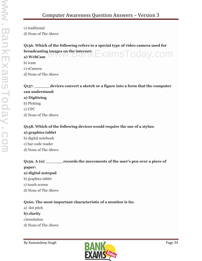c) traditional

d) None of The Above

#### **Q156. Which of the following refers to a special type of video camera used for broadcasting images on the internet:** broadcasting images on the internet:<br>a) WebCam WWW.DdllKEXaMSToday.COM

b) icam

c) eCamera

d) None of The Above

#### **Q157. \_\_\_\_\_\_devices convert a sketch or a figure into a form that the computer can understand:**

#### **a) Digitizing**

b) Plotting

c) UPC

d) None of The Above

#### **Q158. Which of the following devices would require the use of a stylus:**

#### **a) graphics tablet** b) digital notebook c) bar-code reader d) None of The Above

#### **Q159. A (n) \_\_\_\_\_\_\_records the movements of the user's pen over a piece of**

#### **paper:**

#### **a) digital notepad**

- b) graphics tablet
- c) touch screen
- d) None of The Above

#### **Q160. The most important characteristic of a monitor is its:**

a) dot pitch

#### **b) clarity**

- c)resolution
- d) None of The Above

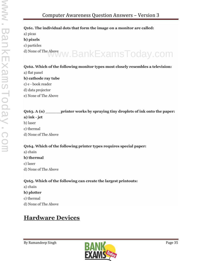#### **Q161. The individual dots that form the image on a monitor are called:**

a) picas **b) pixels** c) particles d) None of The Above www.BankExamsToday.com

#### **Q162. Which of the following monitor types most closely resembles a television:**

a) flat panel

#### **b) cathode ray tube**

- c) e book reader
- d) data projector
- e) None of The Above

#### **Q163. A (n) \_\_\_\_\_\_printer works by spraying tiny droplets of ink onto the paper: a) ink - jet**

- b) laser
- c) thermal
- d) None of The Above

#### **Q164. Which of the following printer types requires special paper:**

a) chain

#### **b) thermal**

- c) laser
- d) None of The Above

#### **Q165. Which of the following can create the largest printouts:**

a) chain

#### **b) plotter**

- c) thermal
- d) None of The Above

### **Hardware Devices**

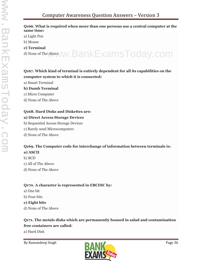#### **Q166. What is required when more than one persons use a central computer at the same time:**

- a) Light Pen
- b) Mouse
- **c) Terminal**

d) None of The Above www.BankExamsToday.com

#### **Q167. Which kind of terminal is entirely dependent for all its capabilities on the computer system to which it is connected:**

a) Smart Terminal

#### **b) Dumb Terminal**

- c) Micro Computer
- d) None of The Above

#### **Q168. Hard Disks and Diskettes are:**

#### **a) Direct Access Storage Devices**

- b) Sequential Access Storage Devices
- c) Rarely used Microcomputers
- d) None of The Above

#### **Q169. The Computer code for interchange of information between terminals is: a) ASCII**

- b) BCD
- c) All of The Above
- d) None of The Above

#### **Q170. A character is represented in EBCDIC by:**

- a) One bit
- b) Four bits

#### **c) Eight bits**

d) None of The Above

#### **Q171. The metals disks which are permanently housed in salad and contamination free containers are called:**

a) Hard Disk

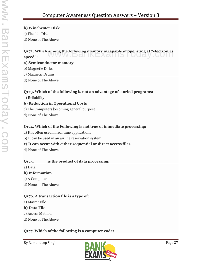**b) Winchester Disk**

c) Flexible Disk

d) None of The Above

### **Q172. Which among the following memory is capable of operating at "electronics"**<br>speed": **speed":**

#### **a) Semiconductor memory**

- b) Magnetic Disks
- c) Magnetic Drums
- d) None of The Above

#### **Q173. Which of the following is not an advantage of storied programs:**

a) Reliability

#### **b) Reduction in Operational Costs**

- c) The Computers becoming general purpose
- d) None of The Above

#### **Q174. Which of the Following is not true of immediate processing:**

- a) It is often used in real time applications
- b) It can be used in an airline reservation system

#### **c) It can occur with either sequential or direct access files**

d) None of The Above

#### **Q175. \_\_\_\_\_is the product of data processing:**

a) Data

#### **b) Information**

- c) A Computer
- d) None of The Above

#### **Q176. A transaction file is a type of:**

a) Master File

#### **b) Data File**

- c) Access Method
- d) None of The Above

### **Q177. Which of the following is a computer code:**

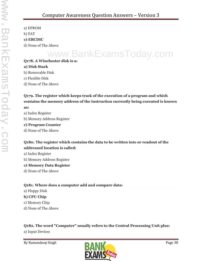a) EPROM b) FAT **c) EBCDIC** d) None of The Above

# www.BankExamsToday.com

## **Q178. A Winchester disk is a: a) Disk Stack** b) Removable Disk

- c) Flexible Disk
- d) None of The Above

## **Q179. The register which keeps track of the execution of a program and which contains the memory address of the instruction currently being executed is known**

## **as:**

- a) Index Register
- b) Memory Address Register

#### **c) Program Counter**

d) None of The Above

### **Q180. The register which contains the data to be written into or readout of the addressed location is called:**

- a) Index Register
- b) Memory Address Register

### **c) Memory Data Register**

d) None of The Above

### **Q181. Where does a computer add and compare data:**

a) Floppy Disk **b) CPU Chip**

## c) Memory Chip

d) None of The Above

### **Q182. The word "Computer" usually refers to the Central Processing Unit plus:**

a) Input Devices

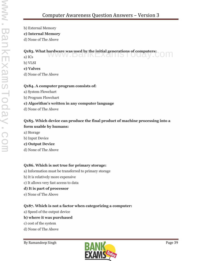- b) External Memory
- **c) Internal Memory**
- d) None of The Above

#### **Q183. What hardware was used by the initial generations of computers:**

a) ICs www.DankExamsToday.c

- b) VLSI
- **c) Valves**
- d) None of The Above

#### **Q184. A computer program consists of:**

- a) System Flowchart
- b) Program Flowchart

#### **c) Algorithm's written in any computer language**

d) None of The Above

#### **Q185. Which device can produce the final product of machine processing into a form usable by humans:**

- a) Storage
- b) Input Device

#### **c) Output Device**

d) None of The Above

#### **Q186. Which is not true for primary storage:**

- a) Information must be transferred to primary storage
- b) It is relatively more expensive
- c) It allows very fast access to data

#### **d) It is part of processor**

e) None of The Above

#### **Q187. Which is not a factor when categorizing a computer:**

a) Speed of the output device

#### **b) where it was purchased**

- c) cost of the system
- d) None of The Above

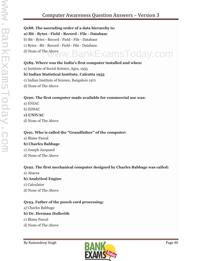## Computer Awareness Question Answers – Version 3

#### **Q188. The ascending order of a data hierarchy is:**

#### **a) Bit - Bytes - Field - Record - File - Database**

- b) Bit Bytes Record Field File Database
- c) Bytes Bit Record Field File Database
- d) None of The Above www.BankExamsToday.com

### **Q189. Where was the India's first computer installed and when:**

a) Institute of Social Science, Agra, 1955

#### **b) Indian Statistical Institute, Calcutta 1955**

- c) Indian Institute of Science, Bangalore 1971
- d) None of The Above

#### **Q190. The first computer made available for commercial use was:**

- a) ENIAC
- b) EDSAC
- **c) UNIVAC**
- d) None of The Above

#### **Q191. Who is called the "Grandfather" of the computer:**

a) Blaise Pascal

#### **b) Charles Babbage**

- c) Joseph Jacquard
- d) None of The Above

#### **Q192. The first mechanical computer designed by Charles Babbage was called:**

a) Abacus

#### **b) Analytical Engine**

- c) Calculator
- d) None of The Above

#### **Q193. Father of the punch card processing:**

a) Charles Babbage

#### **b) Dr. Herman Hollerith**

- c) Blaise Pascal
- d) None of The Above

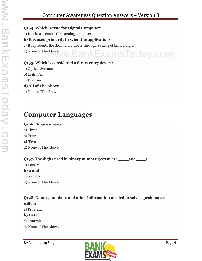#### **Q194. Which is true for Digital Computer:**

- a) It is less accurate than analog computer
- **b) It is used primarily in scientific applications**
- c) It represents the decimal numbers through a string of binary digits
- d) None of The Above www.BankExamsToday.com

#### **Q195. Which is considered a direct entry device:**

- a) Optical Scanner
- b) Light Pen
- c) Digitizer
- **d) All of The Above**
- e) None of The Above

## **Computer Languages**

#### **Q196. Binary means:**

- a) Three
- b) Four
- **c) Two**
- d) None of The Above

**Q197. The digits used in binary number system are \_\_\_\_and\_\_\_\_:**

- a) 1 and 2
- **b) 0 and 1**
- c) 0 and 9
- d) None of The Above

### **Q198. Names, numbers and other information needed to solve a problem are called:**

- a) Program
- **b) Data**
- c) Controls
- d) None of The Above

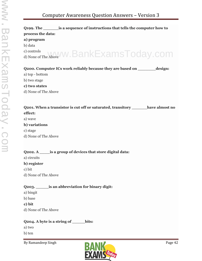## Computer Awareness Question Answers – Version 3

| Q <sub>199</sub> . The same is a sequence of instructions that tells the computer how to |
|------------------------------------------------------------------------------------------|
| process the data:                                                                        |
| a) program                                                                               |
| b) data                                                                                  |
| c) controls<br>d) None of The Above W. BankExamsToday.com                                |
|                                                                                          |
|                                                                                          |
| Q200. Computer ICs work reliably because they are based on<br>design:                    |
| a) top - bottom                                                                          |
| b) two stage                                                                             |

#### **c) two states**

d) None of The Above

| Q201. When a transistor is cut off or saturated, transitory<br>have almost no |  |
|-------------------------------------------------------------------------------|--|
| effect:                                                                       |  |

a) wave

#### **b) variations**

c) stage

d) None of The Above

#### **Q202. A \_\_\_\_is a group of devices that store digital data:**

a) circuits

#### **b) register**

c) bit

d) None of The Above

#### **Q203. \_\_\_\_\_is an abbreviation for binary digit:**

- a) bingit
- b) base
- **c) bit**
- d) None of The Above

#### **Q204. A byte is a string of \_\_\_\_\_bits:**

a) two

b) ten

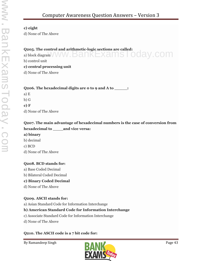#### **c) eight**

d) None of The Above

#### **Q205. The control and arithmetic-logic sections are called:**

 $Q$ 205. The control and arithmetic-logic sections are called:<br>a) block diagram  $WW$  ,  $BANKEXalMS$  ,  $Oday$  ,  $COM$ 

b) control unit

#### **c) central processing unit**

d) None of The Above

#### **Q206. The hexadecimal digits are 0 to 9 and A to \_\_\_\_\_:**

a) E b) G

**c) F**

d) None of The Above

## **Q207. The main advantage of hexadecimal numbers is the case of conversion from hexadecimal to \_\_\_\_and vice versa:**

#### **a) binary**

- b) decimal
- c) BCD
- d) None of The Above

#### **Q208. BCD stands for:**

a) Base Coded Decimal b) Bilateral Coded Decimal **c) Binary Coded Decimal**

## d) None of The Above

### **Q209. ASCII stands for:**

a) Asian Standard Code for Information Interchange

### **b) American Standard Code for Information Interchange**

- c) Associate Standard Code for Information Interchange
- d) None of The Above

### **Q210. The ASCII code is a 7 bit code for:**

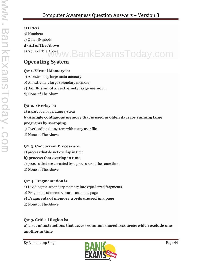- a) Letters
- b) Numbers
- c) Other Symbols

#### **d) All of The Above**

# e) None of The Above www.BankExamsToday.com

## **Operating System**

### **Q211. Virtual Memory is:**

- a) An extremely large main memory
- b) An extremely large secondary memory.

## **c) An illusion of an extremely large memory.**

d) None of The Above

## **Q212. Overlay is:**

a) A part of an operating system

## **b) A single contiguous memory that is used in olden days for running large programs by swapping**

- c) Overloading the system with many user files
- d) None of The Above

## **Q213. Concurrent Process are:**

a) process that do not overlap in time

## **b) process that overlap in time**

- c) process that are executed by a processor at the same time
- d) None of The Above

## **Q214. Fragmentation is:**

- a) Dividing the secondary memory into equal sized fragments
- b) Fragments of memory words used in a page

## **c) Fragments of memory words unused in a page**

d) None of The Above

## **Q215. Critical Region is:**

**a) a set of instructions that access common shared resources which exclude one another in time**

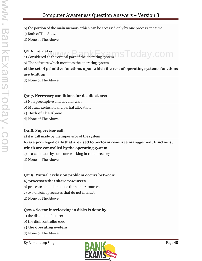- b) the portion of the main memory which can be accessed only by one process at a time.
- c) Both of The Above
- d) None of The Above

#### **Q216. Kernel is:**

**Q216. Kernel is:**<br>a) Considered as the critical part of the operating system  $\mathbb{R}\mathbb{R}\subset\mathbb{R}$  . COM

b) The software which monitors the operating system

### **c) the set of primitive functions upon which the rest of operating systems functions are built up**

d) None of The Above

#### **Q217. Necessary conditions for deadlock are:**

- a) Non preemptive and circular wait
- b) Mutual exclusion and partial allocation
- **c) Both of The Above**
- d) None of The Above

#### **Q218. Supervisor call:**

a) it is call made by the supervisor of the system

#### **b) are privileged calls that are used to perform resource management functions, which are controlled by the operating system**

- c) is a call made by someone working in root directory
- d) None of The Above

#### **Q219. Mutual exclusion problem occurs between:**

#### **a) processes that share resources**

- b) processes that do not use the same resources
- c) two disjoint processes that do not interact
- d) None of The Above

#### **Q220. Sector interleaving in disks is done by:**

- a) the disk manufacturer
- b) the disk controller cord

#### **c) the operating system**

d) None of The Above

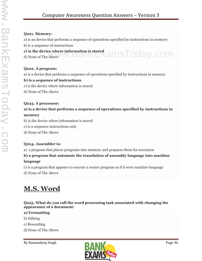#### **Q221. Memory:**

a) is an device that performs a sequence of operations specified by instructions in memory

b) is a sequence of instructions

### **c) is the device where information is stored** c) is the device where information is stored<br>d) None of The Above W.Dall NEXAMSTOOay.COM

#### **Q222. A program:**

a) is a device that performs a sequence of operations specified by instructions in memory

#### **b) is a sequence of instructions**

- c) is the device where information is stored
- d) None of The Above

#### **Q223. A processor:**

#### **a) is a device that performs a sequence of operations specified by instructions in memory**

- b) is the device where information is stored
- c) is a sequence instructions only
- d) None of The Above

## **Q224. Assembler is:**

a) a program that places programs into memory and prepares them for execution

### **b) a program that automate the translation of assembly language into machine language**

c) is a program that appears to execute a source program as if it were machine language

d) None of The Above

## **M.S. Word**

#### **Q225. What do you call the word processing task associated with changing the appearance of a document:**

#### **a) Formatting**

- b) Editing
- c) Rewording
- d) None of The Above

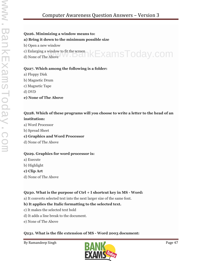#### **Q226. Minimizing a window means to:**

#### **a) Bring it down to the minimum possible size**

- b) Open a new window
- c) Enlarging a window to fit the screen c) Enlarging a window to fit the screen  $\kappa$ ExamsToday.com
- 

#### **Q227. Which among the following is a folder:**

- a) Floppy Disk
- b) Magnetic Drum
- c) Magnetic Tape
- d) DVD
- **e) None of The Above**

#### **Q228. Which of these programs will you choose to write a letter to the head of an institution:**

- a) Word Processor
- b) Spread Sheet

#### **c) Graphics and Word Processor**

d) None of The Above

#### **Q229. Graphics for word processor is:**

- a) Execute
- b) Highlight
- **c) Clip Art**
- d) None of The Above

#### **Q230. What is the purpose of Ctrl + I shortcut key in MS - Word:**

a) It converts selected text into the next larger size of the same font.

#### **b) It applies the Italic formatting to the selected text.**

- c) It makes the selected text bold
- d) It adds a line break to the document.
- e) None of The Above

#### **Q231. What is the file extension of MS - Word 2003 document:**

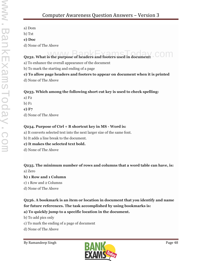a) Dom

b) Txt

**c) Doc**

d) None of The Above

# **Q232. What is the purpose of headers and footers used in document:**

a) To enhance the overall appearance of the document

b) To mark the starting and ending of a page

## **c) To allow page headers and footers to appear on document when it is printed**

d) None of The Above

### **Q233. Which among the following short cut key is used to check spelling:**

a) F2

b) F1

**c) F7**

d) None of The Above

#### **Q234. Purpose of Ctrl + B shortcut key in MS - Word is:**

a) It converts selected text into the next larger size of the same font.

b) It adds a line break to the document.

### **c) It makes the selected text bold.**

d) None of The Above

#### **Q235. The minimum number of rows and columns that a word table can have, is:** a) Zero

### **b) 1 Row and 1 Column**

c) 1 Row and 2 Columns

d) None of The Above

## **Q236. A bookmark is an item or location in document that you identify and name for future references. The task accomplished by using bookmarks is:**

### **a) To quickly jump to a specific location in the document.**

b) To add pics only

- c) To mark the ending of a page of document
- d) None of The Above

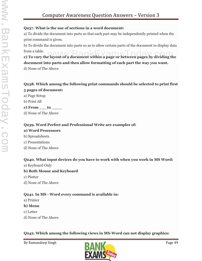#### **Q237. What is the use of sections in a word document:**

a) To divide the document into parts so that each part may be independently printed when the print command is given.

b) To divide the document into parts so as to allow certain parts of the document to display data  $from a table.$  MAAA RankEvameT

from a table.<br>**c) To vary the layout of a document within a page or between pages by dividing the document into parts and then allow formatting of each part the way you want.**

d) None of The Above

#### **Q238. Which among the following print commands should be selected to print first 5 pages of document:**

- a) Page Setup
- b) Print All

#### **c) From \_\_\_to \_\_\_\_**

d) None of The Above

### **Q239. Word Perfect and Professional Write are examples of:**

#### **a) Word Processors**

- b) Spreadsheets
- c) Presentations
- d) None of The Above

#### **Q240. What input devices do you have to work with when you work in MS Word:**

a) Keyboard Only

#### **b) Both Mouse and Keyboard**

- c) Plotter
- d) None of The Above

### **Q241. In MS - Word every command is available in:**

- a) Printer
- **b) Menu**
- c) Letter
- d) None of The Above

#### **Q242. Which among the following views in MS-Word can not display graphics:**

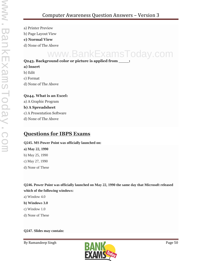- a) Printer Preview
- b) Page Layout View
- **c) Normal View**
- d) None of The Above

# www.BankExamsToday.com

#### **Q243. Background color or picture is applied from \_\_\_\_:**

- **a) Insert**
- b) Edit
- c) Format
- d) None of The Above

#### **Q244. What is an Excel:**

a) A Graphic Program

#### **b) A Spreadsheet**

- c) A Presentation Software
- d) None of The Above

## **Questions for IBPS Exams**

#### **Q245. MS Power Point was officially launched on:**

**a) May 22, 1990** b) May 25, 1990 c) May 27, 1990 d) None of These

**Q246. Power Point was officially launched on May 22, 1990 the same day that Microsoft released which of the following windows:**

- a) Window 4.0
- **b) Windows 3.0**
- c) Window 1.0
- d) None of These

#### **Q247. Slides may contain:**

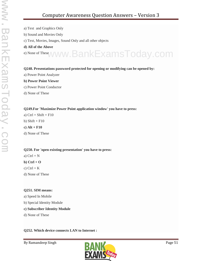- a) Text and Graphics Only
- b) Sound and Movies Only
- c) Text, Movies, Images, Sound Only and all other objects
- **d) All of the Above**

e) None of These www.BankExamsToday.com

#### **Q248. Presentations password protected for opening or modifying can be opened by:**

- a) Power Point Analyzer
- **b) Power Point Viewer**
- c) Power Point Conductor
- d) None of These

#### **Q249.For 'Maximize Power Point application window' you have to press:**

a)  $Ctrl + Shift + F10$ b) Shift  $+$  F10 **c) Alt + F10** d) None of These

#### **Q250. For 'open existing presentation' you have to press:**

a)  $Ctrl + N$ 

**b) Ctrl + O**

c)  $Ctrl + K$ 

d) None of These

#### **Q251. SIM means:**

- a) Speed In Mobile
- b) Special Identity Module

#### **c) Subscriber Identity Module**

d) None of These

#### **Q252. Which device connects LAN to Internet :**

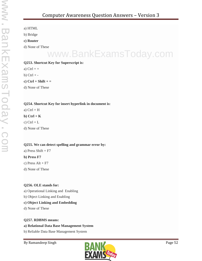- a) HTML
- b) Bridge
- **c) Router**
- d) None of These

# www.BankExamsToday.com

#### **Q253. Shortcut Key for Superscript is:**

- a)  $Ctrl +=$
- b)  $Ctrl + -$
- **c) Ctrl + Shift + =**
- d) None of These

#### **Q254. Shortcut Key for insert hyperlink in document is:**

- a)  $Ctrl + H$
- **b) Ctrl + K**
- c)  $Ctrl + L$
- d) None of These

#### **Q255. We can detect spelling and grammar error by:**

- a) Press Shift  $+ F7$
- **b) Press F7**
- c) Press  $Alt + F7$
- d) None of These

#### **Q256. OLE stands for:**

- a) Operational Linking and Enabling
- b) Object Linking and Enabling

#### **c) Object Linking and Embedding**

d) None of These

#### **Q257. RDBMS means:**

#### **a) Relational Data Base Management System**

b) Reliable Data Base Management System

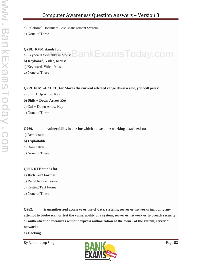c) Relational Document Base Management System

d) None of These

## **Q258. KVM stands for:** Q258. KVM stands for:<br>a) Keyboard Verstality in Mouse  $\mathsf{BankExamsToday}$  . COM

**b) Keyboard, Video, Mouse**

c) Keyboard, Video, Music

d) None of These

#### **Q259. In MS-EXCEL, for Moves the current selected range down a row, you will press:**

a) Shift + Up Arrow Key **b) Shift + Down Arrow Key** c) Ctrl + Down Arrow Key d) None of These

#### **Q260. \_\_\_\_\_\_\_vulnerability is one for which at least one working attack exists:**

a) Democratic

#### **b) Exploitable**

- c) Dominative
- d) None of These

#### **Q261. RTF stands for:**

#### **a) Rich Text Format**

- b) Reliable Text Format
- c) Resting Text Format
- d) None of These

**Q262. \_\_\_\_\_ is unauthorized access to or use of data, systems, server or networks including any attempt to probe scan or test the vulnerability of a system, server or network or to breach security or authentication measures without express authorization of the owner of the system, server or network:**

**a) Hacking**

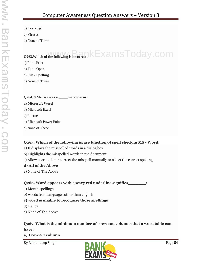b) Cracking

c) Viruses

d) None of These

## **Q263.Which of the following is incorrect:** KExamsToday.com

a) File - Print

b) File - Open

**c) File - Spelling**

d) None of These

#### **Q264. 9 Melissa was a \_\_\_\_\_macro virus:**

#### **a) Microsoft Word**

- b) Microsoft Excel
- c) Internet
- d) Microsoft Power Point
- e) None of These

#### **Q265. Which of the following is/are function of spell check in MS - Word:**

- a) It displays the misspelled words in a dialog box
- b) Highlights the misspelled words in the document
- c) Allow user to either correct the misspell manually or select the correct spelling

#### **d) All of the Above**

e) None of The Above

#### **Q266. Word appears with a wavy red underline signifies\_\_\_\_\_\_\_:**

- a) Month spellings
- b) words from languages other than english

#### **c) word is unable to recognize those spellings**

- d) Italics
- e) None of The Above

### **Q267. What is the minimum number of rows and columns that a word table can have:**

**a) 1 row & 1 column**

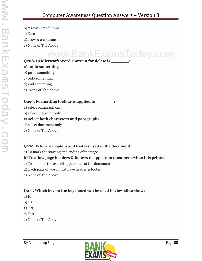b) 2 rows & 2 columns c) Zero d)1 row & 2 columns e) None of The Above

# www.BankExamsToday.com

#### **Q268. In Microsoft Word shortcut for delete is \_\_\_\_\_\_\_:**

#### **a) undo something**

- b) paste something
- c) redo something
- d) end something
- e) None of The Above

#### **Q269. Formatting toolbar is applied to \_\_\_\_\_\_\_:**

- a) select paragraph only
- b) select character only

#### **c) select both characters and paragraphs**

- d) select document only
- e) None of The Above

#### **Q270. Why are headers and footers used in the document:**

a) To mark the starting and ending of the page

#### **b) To allow page headers & footers to appear on document when it is printed**

- c) To enhance the overall appearance of the document
- d) Each page of word must have header & footer.
- e) None of The Above

### **Q271. Which key on the key board can be used to view slide show:**

- a) F1
- b) F2
- **c) F5**
- d) F10
- e) None of The Above

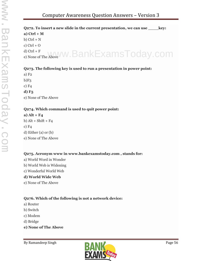#### **Q272. To insert a new slide in the current presentation, we can use \_\_\_\_key: a) Ctrl + M**  $b)$  Ctrl + N

- c)  $Ctrl + O$ d) Ctrl + F
- d) Ctrl + F<br>e) None of The Above WW. BankExamsToday.com

## **Q273. The following key is used to run a presentation in power point:**

a) F2  $b)F3$ c) F4 **d) F5** e) None of The Above

## **Q274. Which command is used to quit power point:**

## **a) Alt + F4**

b)  $Alt + Shift + F4$ c) F4 d) Either (a) or (b) e) None of The Above

## **Q275. Acronym www in www.bankexamstoday.com , stands for:**

- a) World Word in Wonder
- b) World Web is Widening
- c) Wonderful World Web

## **d) World Wide Web**

e) None of The Above

## **Q276. Which of the following is not a network device:**

- a) Router
- b) Switch
- c) Modem
- d) Bridge
- **e) None of The Above**

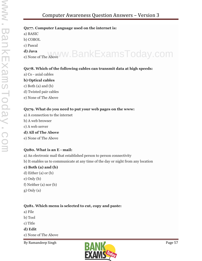#### **Q277. Computer Language used on the internet is:**

a) BASIC

b) COBOL

c) Pascal

**d) Java** d) Java eof The Above WW. BankExamsToday.com

#### **Q278. Which of the following cables can transmit data at high speeds:**

a) Co - axial cables

#### **b) Optical cables**

c) Both (a) and (b)

d) Twisted pair cables

e) None of The Above

#### **Q279. What do you need to put your web pages on the www:**

- a) A connection to the internet
- b) A web browser
- c) A web server

#### **d) All of The Above**

e) None of The Above

### **Q280. What is an E - mail:**

- a) An electronic mail that established person to person connectivity
- b) It enables us to communicate at any time of the day or night from any location

#### **c) Both (a) and (b)**

- d) Either (a) or (b)
- e) Only (b)
- f) Neither (a) nor (b)
- g) Only (a)

### **Q281. Which menu is selected to cut, copy and paste:**

- a) File
- b) Tool
- c) Title

#### **d) Edit**

e) None of The Above

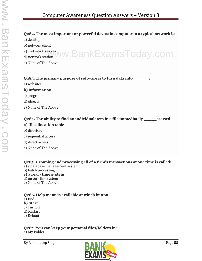#### **Q282. The most important or powerful device in computer in a typical network is:**

a) desktop

b) network client

**c) network server**

c) network server<br>d) network station WW.BankExamsToday.com

e) None of The Above

**Q283. The primary purpose of software is to turn data into \_\_\_\_\_\_:**

a) websites

#### **b) information**

- c) programs
- d) objects
- e) None of The Above

**Q284. The ability to find an individual item in a file immediately \_\_\_\_\_ is used:**

#### **a) file allocation table**

- b) directory
- c) sequential access
- d) direct access
- e) None of The Above

**Q285. Grouping and processing all of a firm's transactions at one time is called:** a) a database management system

- b) batch processing
- **c) a real - time system**
- d) an on line system
- e) None of The Above

#### **Q286. Help menu is available at which button:**

#### a) End

- **b) Start** c) Turnoff
- d) Restart
- e) Reboot

**Q287. You can keep your personal files/folders in:** a) My Folder

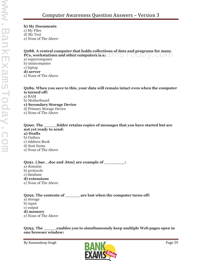**b) My Documents**

c) My Files

d) My Text

e) None of The Above

#### **Q288. A central computer that holds collections of data and programs for many** Q288. A central computer that holds collections of data and programs for many<br>PCs, workstations and other computers is a:

a) supercomputer b) minicomputer c) laptop **d) server**

e) None of The Above

#### **Q289. When you save to this, your data will remain intact even when the computer is turned off:**

a) RAM

b) Motherboard

**c) Secondary Storage Device**

d) Primary Storage Device

e) None of The Above

#### **Q290. The \_\_\_\_\_folder retains copies of messages that you have started but are not yet ready to send:**

**a) Drafts** b) Outbox c) Address Book d) Sent Items

e) None of The Above

#### **Q291. {.bas , .doc and .htm} are example of \_\_\_\_\_\_\_\_:**

a) domains b) protocols c) database **d) extensions** e) None of The Above

#### **Q292. The contents of \_\_\_\_\_\_are lost when the computer turns off:** a) storage b) input c) output **d) memory**

e) None of The Above

#### **Q293. The \_\_\_\_\_enables you to simultaneously keep multiple Web pages open in one browser window:**

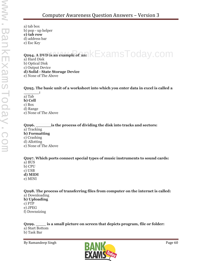a) tab box b) pop - up helper **c) tab row** d) address bar

e) Esc Key

## **Q294. A DVD is an example of an:**  $k$ ExamsToday.com

a) Hard Disk b) Optical Disk c) Output Device **d) Solid - State Storage Device**

e) None of The Above

#### **Q295. The basic unit of a worksheet into which you enter data in excel is called a**

**\_\_\_\_\_\_:** a) Tab **b) Cell** c) Box d) Range e) None of The Above

**Q296. \_\_\_\_\_\_is the process of dividing the disk into tracks and sectors:** a) Tracking **b) Formatting** c) Crashing d) Allotting e) None of The Above

**Q297. Which ports connect special types of music instruments to sound cards:** a) BUS b) CPU c) USB **d) MIDI** e) MINI

**Q298. The process of transferring files from computer on the internet is called:** a) Downloading **b) Uploading** c) FTP e) JPEG f) Downsizing

**Q299. \_\_\_\_ is a small picture on screen that depicts program, file or folder:** a) Start Bottom b) Task Bar

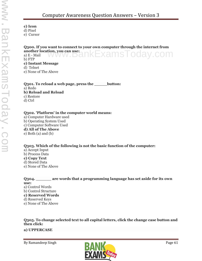**c) Icon**

d) Pixel

e) Cursor

**Q300. If you want to connect to your own computer through the internet from another location, you can use:** a) E - Mail b) FTP **c) Instant Message** ww.BankExamsToday

d) Telnet

e) None of The Above

**Q301. To reload a web page, press the \_\_\_\_\_button:** a) Redo **b) Reload and Reload** c) Restore d) Ctrl

#### **Q302. 'Platform' in the computer world means:**

a) Computer Hardware used b) Operating System Used c) Computer Software Used **d) All of The Above** e) Both (a) and (b)

#### **Q303. Which of the following is not the basic function of the computer:**

a) Accept Input b) Process Data **c) Copy Text** d) Stored Data e) None of The Above

**Q304. \_\_\_\_\_\_ are words that a programming language has set aside for its own use:** a) Control Words b) Control Structure **c) Reserved Words** d) Reserved Keys e) None of The Above

**Q305. To change selected text to all capital letters, click the change case button and then click:**

**a) UPPERCASE**

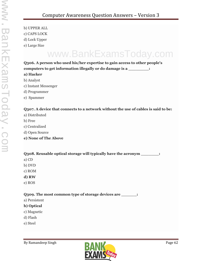b) UPPER ALL c) CAPS LOCK d) Lock Upper e) Large Size

# www.BankExamsToday.com

**Q306. A person who used his/her expertise to gain access to other people's computers to get information illegally or do damage is a \_\_\_\_\_\_\_\_: a) Hacker**

- b) Analyst
- c) Instant Messenger
- d) Programmer
- e) Spammer

#### **Q307. A device that connects to a network without the use of cables is said to be:**

- a) Distributed
- b) Free
- c) Centralized
- d) Open Source
- **e) None of The Above**

#### **Q308. Reusable optical storage will typically have the acronym \_\_\_\_\_\_\_:**

- a) CD
- b) DVD
- c) ROM
- **d) RW**
- e) ROS

#### **Q309. The most common type of storage devices are \_\_\_\_\_\_:**

a) Persistent

#### **b) Optical**

- c) Magnetic
- d) Flash
- e) Steel

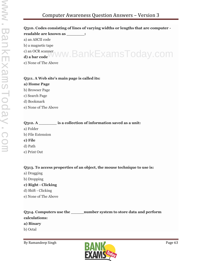## **Q310. Codes consisting of lines of varying widths or lengths that are computer readable are known as \_\_\_\_\_\_\_:**

a) an ASCII code

b) a magnetic tape

c) an OCR scanner

**d) a bar code** www.BankExamsToday.com

e) None of The Above

#### **Q311. A Web site's main page is called its:**

#### **a) Home Page**

b) Browser Page

c) Search Page

d) Bookmark

e) None of The Above

### **Q312. A \_\_\_\_\_\_\_ is a collection of information saved as a unit:**

- a) Folder
- b) File Extension
- **c) File**
- d) Path
- e) Print Out

#### **Q313. To access properties of an object, the mouse technique to use is:**

- a) Dragging
- b) Dropping

#### **c) Right - Clicking**

- d) Shift Clicking
- e) None of The Above

## **Q314. Computers use the \_\_\_\_\_number system to store data and perform calculations:**

#### **a) Binary**

b) Octal

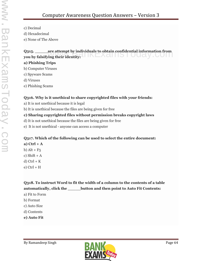- c) Decimal
- d) Hexadecimal
- e) None of The Above

## **Q315. \_\_\_\_\_are attempt by individuals to obtain confidential information from**<br>you by falsifying their identity: **you by falsifying their identity: a) Phishing Trips**

- b) Computer Viruses
- c) Spyware Scams
- d) Viruses
- e) Phishing Scams

## **Q316. Why is it unethical to share copyrighted files with your friends:**

- a) It is not unethical because it is legal
- b) It is unethical because the files are being given for free

## **c) Sharing copyrighted files without permission breaks copyright laws**

- d) It is not unethical because the files are being given for free
- e) It is not unethical anyone can access a computer

## **Q317. Which of the following can be used to select the entire document:**

**a) Ctrl + A** b)  $Alt + F_5$ c) Shift  $+A$ d)  $Ctrl + K$  $e)$  Ctrl + H

**Q318. To instruct Word to fit the width of a column to the contents of a table automatically, click the \_\_\_\_\_button and then point to Auto Fit Contents:**

- a) Fit to Form
- b) Format
- c) Auto Size
- d) Contents
- **e) Auto Fit**

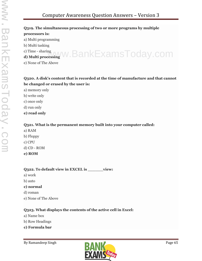#### **Q319. The simultaneous processing of two or more programs by multiple processors is:**

a) Multi programming

- b) Multi tasking
- c) Time sharing

<sup>c) Time - sharing www.BankExamsToday.com</sup>

e) None of The Above

#### **Q320. A disk's content that is recorded at the time of manufacture and that cannot be changed or erased by the user is:**

- a) memory only
- b) write only
- c) once only
- d) run only
- **e) read only**

#### **Q321. What is the permanent memory built into your computer called:**

- a) RAM b) Floppy c) CPU d) CD - ROM
- **e) ROM**

#### **Q322. To default view in EXCEL is \_\_\_\_\_\_view:**

- a) work
- b) auto
- **c) normal**
- d) roman
- e) None of The Above

#### **Q323. What displays the contents of the active cell in Excel:**

- a) Name box
- b) Row Headings
- **c) Formula bar**

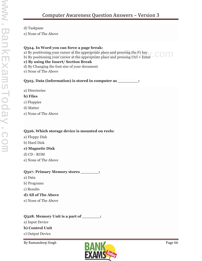#### d) Taskpane

e) None of The Above

#### **Q324. In Word you can force a page break:**

a) By positioning your cursor at the appropriate place and pressing the F1 key

a) By positioning your cursor at the appropriate place and pressing the F1 key<br>b) By positioning your cursor at the appropriate place and pressing Ctrl + Enter

#### **c) By using the Insert/ Section Break**

d) By Changing the font size of your document

e) None of The Above

#### **Q325. Data (information) is stored in computer as \_\_\_\_\_\_\_\_:**

a) Directories

#### **b) Files**

- c) Floppies
- d) Matter
- e) None of The Above

#### **Q326. Which storage device is mounted on reels:**

- a) Floppy Disk
- b) Hard Disk

#### **c) Magnetic Disk**

d) CD - ROM

e) None of The Above

#### **Q327. Primary Memory stores \_\_\_\_\_\_\_:**

- a) Data
- b) Programs
- c) Results

#### **d) All of The Above**

e) None of The Above

#### **Q328. Memory Unit is a part of \_\_\_\_\_\_\_:**

a) Input Device

#### **b) Control Unit**

c) Output Device

By Ramandeep Singh Page 66

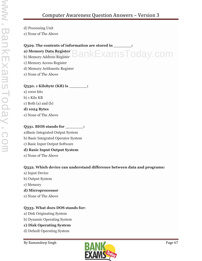d) Processing Unit

e) None of The Above

### **Q329. The contents of information are stored in \_\_\_\_\_\_\_: a) Memory Data Register** BankExamsToday.com

b) Memory Address Register c) Memory Access Register d) Memory Arithmetic Register e) None of The Above

#### **Q330. 1 Kilobyte (KB) is \_\_\_\_\_\_\_:**

a) 1000 bits b) 1 Kilo KB c) Both (a) and (b) **d) 1024 Bytes**

e) None of The Above

#### **Q331. BIOS stands for \_\_\_\_\_\_\_:**

a)Basic Integrated Output System b) Basic Integrated Operator System c) Basic Input Output Software **d) Basic Input Output System** e) None of The Above

#### **Q332. Which device can understand difference between data and programs:**

- a) Input Device
- b) Output System
- c) Memory
- **d) Microprocessor**
- e) None of The Above

#### **Q333. What does DOS stands for:**

- a) Disk Originating System
- b) Dynamic Operating System

#### **c) Disk Operating System**

d) Default Operating System

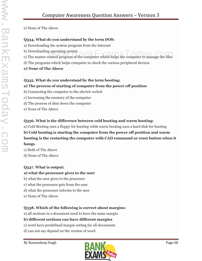e) None of The Above

#### **Q334. What do you understand by the term DOS:**

- a) Downloading the system program from the Internet
- b) Downloading operating system
- b) Downloading operating system<br>c) The master control program of the computer which helps the computer to manage the files
- d) The programs which helps computer to check the various peripheral devices
- **e) None of The Above**

#### **Q335. What do you understand by the term booting:**

#### **a) The process of starting of computer from the power off position**

- b) Connecting the computer to the electric switch
- c) Increasing the memory of the computer
- d) The process of shut down the computer
- e) None of The Above

#### **Q336. What is the difference between cold booting and warm booting:**

a) Cold Booting uses a floppy for booting while warm booting uses a hard disk for booting

### **b) Cold booting is starting the computer from the power off position and warm booting is the restarting the computer with CAD command or reset button when it hangs**

c) Both of The Above d) None of The Above

#### **Q337. What is output:**

#### **a) what the processor gives to the user**

- b) what the user gives to the processor
- c) what the processor gets from the user
- d) what the processor informs to the user
- e) None of The Above

#### **Q338. Which of the following is correct about margins:**

a) all sections in a document need to have the same margin

#### **b) different sections can have different margins**

- c) word have predefined margin setting for all documents
- d) can not say depend on the version of word

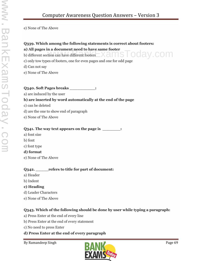e) None of The Above

## **Q339. Which among the following statements is correct about footers:**

#### **a) All pages in a document need to have same footer**

b) different section can have different footers

- c) only tow types of footers, one for even pages and one for odd page
- d) Can not say
- e) None of The Above

#### **Q340. Soft Pages breaks \_\_\_\_\_\_\_\_\_\_:**

a) are induced by the user

#### **b) are inserted by word automatically at the end of the page**

- c) can be deleted
- d) are the one to show end of paragraph
- e) None of The Above

#### **Q341. The way text appears on the page is \_\_\_\_\_\_\_:**

- a) font size
- b) font
- c) font type

#### **d) format**

e) None of The Above

#### **Q342. \_\_\_\_\_refers to title for part of document:**

- a) Header
- b) Indent
- **c) Heading**
- d) Leader Characters
- e) None of The Above

### **Q343. Which of the following should be done by user while typing a paragraph:**

- a) Press Enter at the end of every line
- b) Press Enter at the end of every statement
- c) No need to press Enter

#### **d) Press Enter at the end of every paragraph**



pday.com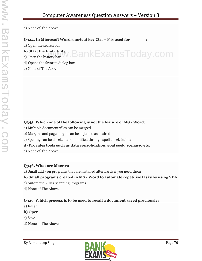.BankExamsToday.com

e) None of The Above

#### **Q344. In Microsoft Word shortcut key Ctrl + F is used for \_\_\_\_\_\_:**

a) Open the search bar

#### **b) Start the find utility**

- c) Open the history bar
- d) Opens the favorite dialog box
- e) None of The Above

#### **Q345. Which one of the following is not the feature of MS - Word:**

- a) Multiple document/files can be merged
- b) Margins and page length can be adjusted as desired
- c) Spelling can be checked and modified through spell check facility

#### **d) Provides tools such as data consolidation, goal seek, scenario etc.**

e) None of The Above

#### **Q346. What are Macros:**

a) Small add - on programs that are installed afterwards if you need them

#### **b) Small programs created in MS - Word to automate repetitive tasks by using VBA**

- c) Automatic Virus Scanning Programs
- d) None of The Above

#### **Q347. Which process is to be used to recall a document saved previously:**

- a) Enter
- **b) Open**
- c) Save
- d) None of The Above

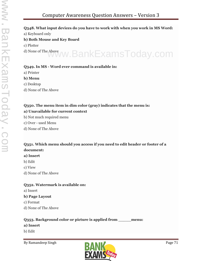#### **Q348. What input devices do you have to work with when you work in MS Word:**

a) Keyboard only

#### **b) Both Mouse and Key Board**

c) Plotter

d) None of The Above www.BankExamsToday.com

#### **Q349. In MS - Word ever command is available in:**

- a) Printer
- **b) Menu**
- c) Desktop
- d) None of The Above

#### **Q350. The menu item in dim color (gray) indicates that the menu is:**

#### **a) Unavailable for current context**

- b) Not much required menu
- c) Over used Menu
- d) None of The Above

#### **Q351. Which menu should you access if you need to edit header or footer of a document:**

#### **a) Insert**

- b) Edit
- c) View
- d) None of The Above

#### **Q352. Watermark is available on:**

a) Insert

#### **b) Page Layout**

- c) Format
- d) None of The Above

#### **Q353. Background color or picture is applied from \_\_\_\_\_menu:**

#### **a) Insert**

b) Edit

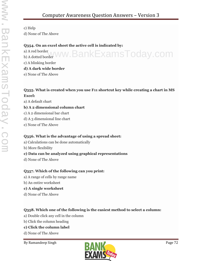c) Help

d) None of The Above

#### **Q354. On an excel sheet the active cell is indicated by:**

a) A red border a) A red border www.BankExamsToday.com c) A blinking border **d) A dark wide border**

## e) None of The Above

### **Q355. What is created when you use F11 shortcut key while creating a chart in MS Excel:**

a) A default chart

### **b) A 2 dimensional column chart**

- c) A 2 dimensional bar chart
- d) A 3 dimensional line chart
- e) None of The Above

### **Q356. What is the advantage of using a spread sheet:**

- a) Calculations can be done automatically
- b) More flexibility

### **c) Data can be analyzed using graphical representations**

d) None of The Above

### **Q357. Which of the following can you print:**

- a) A range of cells by range name
- b) An entire worksheet
- **c) A single worksheet**
- d) None of The Above

### **Q358. Which one of the following is the easiest method to select a column:**

- a) Double click any cell in the column
- b) Click the column heading

### **c) Click the column label**

- d) None of The Above
- 

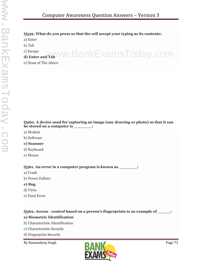# **Q359. What do you press so that the cell accept your typing as its contents:**

a) Enter

b) Tab

c) Escape **d) Enter and Tab** www.BankExamsToday.com

e) None of The Above

# **Q360. A device used for capturing an image (any drawing or photo) so that it can be stored on a computer is \_\_\_\_\_\_\_:**

- a) Modem
- b) Software

# **c) Scanner**

- d) Keyboard
- e) Mouse

# **Q361. An error in a computer program is known as \_\_\_\_\_\_\_:**

- a) Crash
- b) Power Failure
- **c) Bug**
- d) Virus
- e) Fatal Error

# **Q362. Access - control based on a person's fingerprints is an example of \_\_\_\_\_:**

# **a) Biometric Identification**

- b) Characteristic Identification
- c) Characteristic Security
- d) Fingerprint Security
- 

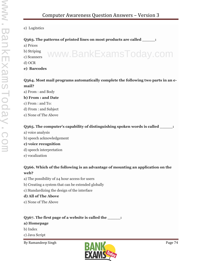#### e) Logitstics

#### **Q363. The patterns of printed lines on most products are called \_\_\_\_\_:**

- a) Prices
- b) Striping
- c) Scanners
- d) OCR
- **e) Barcodes**

# **Q364. Most mail programs automatically complete the following two parts in an e mail?**

www.BankExamsToday.com

a) From : and Body

#### **b) From : and Date**

- c) From : and To:
- d) From : and Subject
- e) None of The Above

### Q365. The computer's capability of distinguishing spoken words is called  $\qquad \qquad$  :

- a) voice analysis
- b) speech acknowledgement

#### **c) voice recognition**

- d) speech interpretation
- e) vocalization

# **Q366. Which of the following is an advantage of mounting an application on the web?**

- a) The possibility of 24 hour access for users
- b) Creating a system that can be extended globally
- c) Standardizing the design of the interface

### **d) All of The Above**

e) None of The Above

# **Q367. The first page of a website is called the \_\_\_\_\_:**

# **a) Homepage**

- b) Index
- c) Java Script
- By Ramandeep Singh Page 74

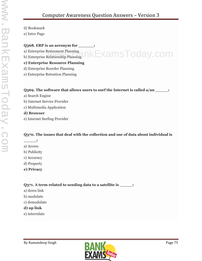- d) Bookmark
- e) Intro Page

# Q<sub>3</sub>68. ERP is an acronym for  $\cdot$

- a) Enterprise Retirement Planning
- a) Enterprise Retirement Planning<br>b) Enterprise Relationship Planning

# **c) Enterprise Resource Planning**

- d) Enterprise Reorder Planning
- e) Enterprise Retention Planning

# **Q369. The software that allows users to surf the Internet is called a/an \_\_\_\_\_:**

- a) Search Engine
- b) Internet Service Provider
- c) Multimedia Application

# **d) Browser**

e) Internet Surfing Provider

# **Q370. The issues that deal with the collection and use of data about individual is**

- **\_\_\_\_\_:**
- a) Access
- b) Publicity
- c) Accuracy
- d) Property
- **e) Privacy**

# **Q371. A term related to sending data to a satellite is \_\_\_\_\_:**

- a) down link
- b) modulate
- c) demodulate

# **d) up link**

e) interrelate

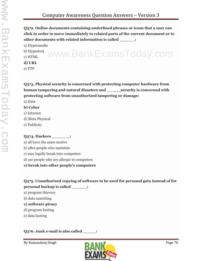**Q372. Online documents containing underlined phrases or icons that a user can click in order to move immediately to related parts of the current document or to other documents with related information is called \_\_\_\_\_\_:**

a) Hypermedia

b) Hypertext c) HTML **d) URL** www.BankExamsToday.com

e) FTP

**Q373. Physical security is concerned with protecting computer hardware from human tampering and natural disasters and \_\_\_\_\_security is concerned with protecting software from unauthorized tampering or damage:**

- a) Data
- **b) Cyber**
- c) Internet
- d) Meta Physical
- e) Publicity

# **Q374. Hackers \_\_\_\_\_\_\_:**

a) all have the same motive

- b) after people who maintain
- c) may legally break into computers
- d) are people who are allergic to computers
- **e) break into other people's computers**

**Q375. Unauthorized copying of software to be used for personal gain instead of for personal backup is called \_\_\_\_\_\_:**

- a) program thievery
- b) data snatching
- **c) software piracy**
- d) program looting
- e) data looting

# **Q376. Junk e-mail is also called \_\_\_\_\_:**

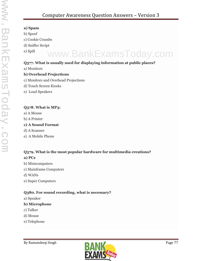### **a) Spam**

- b) Spoof
- c) Cookie Crumbs
- d) Sniffer Script
- e) Spill

# www.BankExamsToday.com

# **Q377. What is usually used for displaying information at public places?**

a) Monitors

# **b) Overhead Projections**

- c) Monitors and Overhead Projections
- d) Touch Screen Kiosks
- e) Loud Speakers

# **Q378. What is MP3:**

- a) A Mouse
- b) A Printer

# **c) A Sound Format**

- d) A Scanner
- e) A Mobile Phone

# **Q379. What is the most popular hardware for multimedia creations? a) PCs**

- b) Minicomputers
- c) Mainframe Computers
- d) WANs
- e) Super Computers

# **Q380. For sound recording, what is necessary?**

a) Speaker

# **b) Microphone**

- c) Talker
- d) Mouse
- e) Telephone

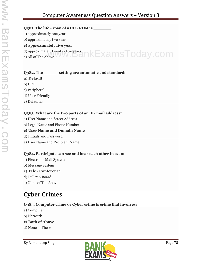# Computer Awareness Question Answers – Version 3

**Q381. The life - span of a CD - ROM is \_\_\_\_\_\_\_:**

a) approximately one year

b) approximately two year

# **c) approximately five year**

d) approximately twenty - five years d) approximately twenty - five years<br>e) All of The Above WW.DankExamsToday.COM

# **Q382. The \_\_\_\_\_\_setting are automatic and standard:**

# **a) Default**

- b) CPU
- c) Peripheral
- d) User Friendly
- e) Defaulter

# **Q383. What are the two parts of an E - mail address?**

- a) User Name and Street Address
- b) Legal Name and Phone Number

# **c) User Name and Domain Name**

- d) Initials and Password
- e) User Name and Recipient Name

# **Q384. Participate can see and hear each other in a/an:**

- a) Electronic Mail System
- b) Message System

# **c) Tele - Conference**

- d) Bulletin Board
- e) None of The Above

# **Cyber Crimes**

# **Q385. Computer crime or Cyber crime is crime that involves:**

- a) Computer
- b) Network
- **c) Both of Above**
- d) None of These

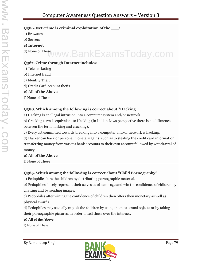# **Q386. Net crime is criminal exploitation of the \_\_\_:**

- a) Browsers
- b) Servers
- **c) Internet**
- 

# d) None of These www.BankExamsToday.com

# **Q387. Crime through Internet includes:**

- a) Telemarketing
- b) Internet fraud
- c) Identity Theft
- d) Credit Card account thefts
- **e) All of the Above**
- f) None of These

# **Q388. Which among the following is correct about "Hacking":**

a) Hacking is an illegal intrusion into a computer system and/or network.

b) Cracking term is equivalent to Hacking (In Indian Laws perspective there is no difference between the term hacking and cracking).

c) Every act committed towards breaking into a computer and/or network is hacking.

d) Hacker can hack or personal monetary gains, such as to stealing the credit card information, transferring money from various bank accounts to their own account followed by withdrawal of money.

# **e) All of the Above**

f) None of These

# **Q389. Which among the following is correct about "Child Pornography":**

a) Pedophiles lure the children by distributing pornographic material.

b) Pedophiles falsely represent their selves as of same age and win the confidence of children by chatting and by sending images.

c) Pedophiles after wining the confidence of children then offers then monetary as well as physical awards.

d) Pedophiles may sexually exploit the children by using them as sexual objects or by taking their pornographic pictures, in order to sell those over the internet.

# **e) All of the Above**

f) None of These

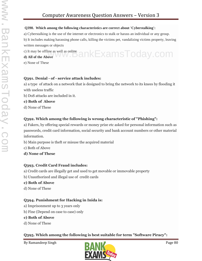#### **Q390. Which among the following characteristics are correct about 'Cyberstalking':**

a) Cyberstalking is the use of the internet or electronics to stalk or harass an individual or any group.

b) It includes making harassing phone calls, killing the victims pet, vandalizing victims property, leaving written messages or objects

c) It may be offline as well as online c) It may be offline as well as online<br>**d**) All of the Above WW.DankExamsToday.com

e) None of These

# **Q391. Denial - of - service attack includes:**

a) a type of attack on a network that is designed to bring the network to its knees by flooding it with useless traffic

b) DoS attacks are included in it.

### **c) Both of Above**

d) None of These

# **Q392. Which among the following is wrong characteristic of "Phishing":**

a) Fakers, by offering special rewards or money prize etc asked for personal information such as passwords, credit card information, social security and bank account numbers or other material information.

b) Main purpose is theft or misuse the acquired material

c) Both of Above

**d) None of These**

# **Q393. Credit Card Fraud includes:**

- a) Credit cards are illegally get and used to get movable or immovable property
- b) Unauthorized and illegal use of credit cards

# **c) Both of Above**

d) None of These

# **Q394. Punishment for Hacking in Inida is:**

- a) Imprisonment up to 3 years only
- b) Fine (Depend on case to case) only

# **c) Both of Above**

d) None of These

**Q395. Which among the following is best suitable for term "Software Piracy":**

By Ramandeep Singh Page 80

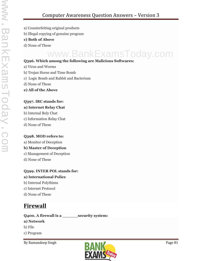- a) Counterfeiting original products
- b) Illegal copying of genuine program

#### **c) Both of Above**

d) None of These

# www.BankExamsToday.com

### **Q396. Which among the following are Malicious Softwares:**

- a) Virus and Worms
- b) Trojan Horse and Time Bomb
- c) Logic Bomb and Rabbit and Bacterium
- d) None of These
- **e) All of the Above**

# **Q397. IRC stands for:**

### **a) Internet Relay Chat**

- b) Internal Rely Chat
- c) Information Relay Chat
- d) None of These

### **Q398. MOD refers to:**

a) Monitor of Deception

### **b) Master of Deception**

- c) Management of Deception
- d) None of These

# **Q399. INTER POL stands for:**

- **a) International Police**
- b) Internal Polythims
- c) Internet Protocol
- d) None of These

# **Firewall**

# **Q400. A firewall is a \_\_\_\_\_\_security system:**

### **a) Network**

- b) File
- c) Program

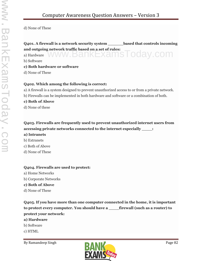d) None of These

# **Q401. A firewall is a network security system \_\_\_\_\_\_based that controls incoming and outgoing network traffic based on a set of rules:**

and outgoing network trainc based on a set of rules:<br>a) Hardware  $WWW$  ,  $BANKEXamsToday$  ,  $com$ 

b) Software

#### **c) Both hardware or software**

d) None of These

#### **Q402. Which among the following is correct:**

- a) A firewall is a system designed to prevent unauthorized access to or from a private network.
- b) Firewalls can be implemented in both hardware and software or a combination of both.

#### **c) Both of Above**

d) None of these

# **Q403. Firewalls are frequently used to prevent unauthorized internet users from accessing private networks connected to the internet especially \_\_\_\_:**

#### **a) Intranets**

- b) Extranets
- c) Both of Above
- d) None of These

#### **Q404. Firewalls are used to protect:**

- a) Home Networks
- b) Corporate Networks
- **c) Both of Above**
- d) None of These

# **Q405. If you have more than one computer connected in the home, it is important to protect every computer. You should have a \_\_\_\_firewall (such as a router) to protect your network:**

#### **a) Hardware**

- b) Software
- c) HTML

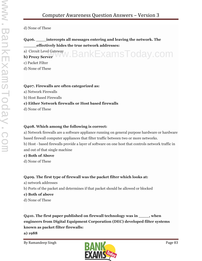d) None of These

# **Q406. \_\_\_\_intercepts all messages entering and leaving the network. The \_\_\_\_\_effectively hides the true network addresses:**

a) Circuit Level Gateway **b) Proxy Server** v.BankExamsToday.com

c) Packet Filter

d) None of These

### **Q407. Firewalls are often categorized as:**

- a) Network Firewalls
- b) Host Based Firewalls

# **c) Either Network firewalls or Host based firewalls**

d) None of These

# **Q408. Which among the following is correct:**

a) Network firewalls are a software appliance running on general purpose hardware or hardware based firewall computer appliances that filter traffic between two or more networks.

b) Host - based firewalls provide a layer of software on one host that controls network traffic in and out of that single machine

### **c) Both of Above**

d) None of These

# **Q409. The first type of firewall was the packet filter which looks at:**

- a) network addresses
- b) Ports of the packet and determines if that packet should be allowed or blocked
- **c) Both of above**
- d) None of These

**Q410. The first paper published on firewall technology was in \_\_\_\_, when engineers from Digital Equipment Corporation (DEC) developed filter systems known as packet filter firewalls:**

**a) 1988**

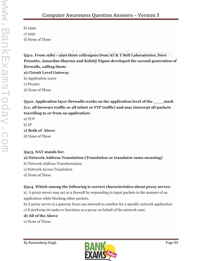b) 1999 c) 1992 d) None of These

**Q411. From 1989 - 1990 three colleagues from AT & T Bell Laboratories, Dave Presotto, Janardan Sharma and Kshitij Nigam developed the second generation of firewalls, calling them:**

**a) Circuit Level Gateway**

b) Application Layer

c) Proxies

d) None of These

**Q412. Application layer firewalls works on the application level of the \_\_\_\_stack (i.e. all browser traffic or all telnet or FTP traffic) and may intercept all packets travelling to or from an application:**

a) TCP b) IP

**c) Both of Above**

d) None of These

# **Q413. NAT stands for:**

# **a) Network Address Translation (Translation or translator same meaning)**

- b) Network Address Transformation
- c) Network Access Translation
- d) None of These

# **Q414. Which among the following is correct characteristics about proxy server:**

a) A proxy server may act as a firewall by responding to input packets in the manner of an application while blocking other packets.

b) A proxy server is a gateway from one network to another for a specific network application

c) It performs its tasks or functions as a proxy on behalf of the network user;

# **d) All of the Above**

e) None of These